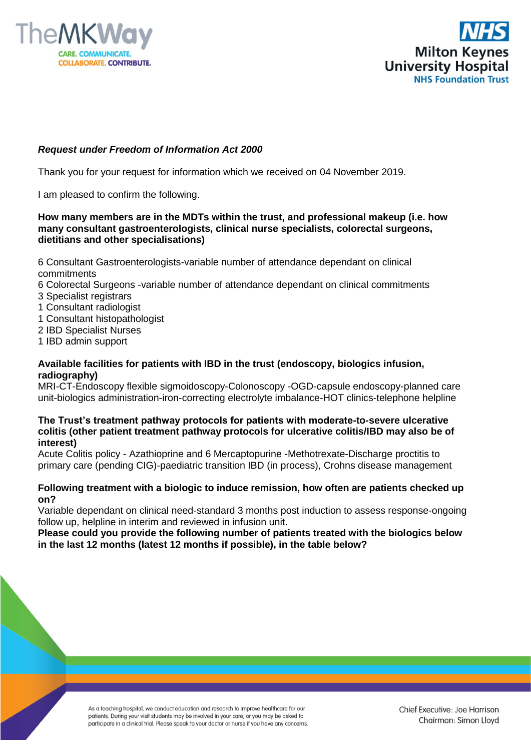



# *Request under Freedom of Information Act 2000*

Thank you for your request for information which we received on 04 November 2019.

I am pleased to confirm the following.

# **How many members are in the MDTs within the trust, and professional makeup (i.e. how many consultant gastroenterologists, clinical nurse specialists, colorectal surgeons, dietitians and other specialisations)**

6 Consultant Gastroenterologists-variable number of attendance dependant on clinical commitments

- 6 Colorectal Surgeons -variable number of attendance dependant on clinical commitments
- 3 Specialist registrars
- 1 Consultant radiologist
- 1 Consultant histopathologist
- 2 IBD Specialist Nurses
- 1 IBD admin support

# **Available facilities for patients with IBD in the trust (endoscopy, biologics infusion, radiography)**

MRI-CT-Endoscopy flexible sigmoidoscopy-Colonoscopy -OGD-capsule endoscopy-planned care unit-biologics administration-iron-correcting electrolyte imbalance-HOT clinics-telephone helpline

#### **The Trust's treatment pathway protocols for patients with moderate-to-severe ulcerative colitis (other patient treatment pathway protocols for ulcerative colitis/IBD may also be of interest)**

Acute Colitis policy - Azathioprine and 6 Mercaptopurine -Methotrexate-Discharge proctitis to primary care (pending CIG)-paediatric transition IBD (in process), Crohns disease management

# **Following treatment with a biologic to induce remission, how often are patients checked up on?**

Variable dependant on clinical need-standard 3 months post induction to assess response-ongoing follow up, helpline in interim and reviewed in infusion unit.

**Please could you provide the following number of patients treated with the biologics below in the last 12 months (latest 12 months if possible), in the table below?**

> As a teaching hospital, we conduct education and research to improve healthcare for our patients. During your visit students may be involved in your care, or you may be asked to participate in a clinical trial. Please speak to your doctor or nurse if you have any concerns.